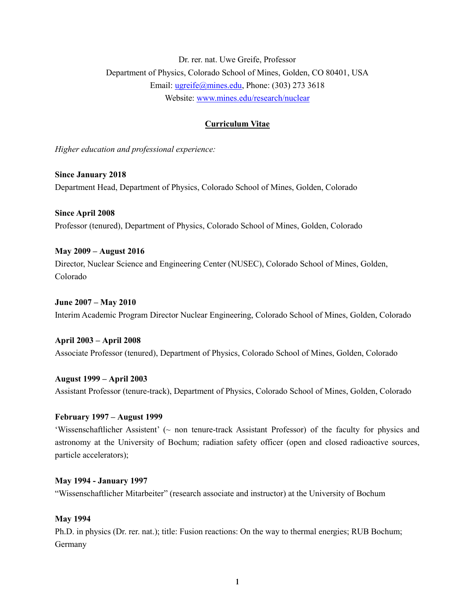Dr. rer. nat. Uwe Greife, Professor Department of Physics, Colorado School of Mines, Golden, CO 80401, USA Email: [ugreife@mines.edu,](mailto:ugreife@mines.edu) Phone: (303) 273 3618 Website: [www.mines.edu/research/nuclear](http://www.mines.edu/research/nuclear)

# **Curriculum Vitae**

*Higher education and professional experience:*

**Since January 2018** Department Head, Department of Physics, Colorado School of Mines, Golden, Colorado

**Since April 2008** Professor (tenured), Department of Physics, Colorado School of Mines, Golden, Colorado

**May 2009 – August 2016** Director, Nuclear Science and Engineering Center (NUSEC), Colorado School of Mines, Golden, Colorado

**June 2007 – May 2010** Interim Academic Program Director Nuclear Engineering, Colorado School of Mines, Golden, Colorado

**April 2003 – April 2008** Associate Professor (tenured), Department of Physics, Colorado School of Mines, Golden, Colorado

**August 1999 – April 2003** Assistant Professor (tenure-track), Department of Physics, Colorado School of Mines, Golden, Colorado

### **February 1997 – August 1999**

'Wissenschaftlicher Assistent' (~ non tenure-track Assistant Professor) of the faculty for physics and astronomy at the University of Bochum; radiation safety officer (open and closed radioactive sources, particle accelerators);

#### **May 1994 - January 1997**

"Wissenschaftlicher Mitarbeiter" (research associate and instructor) at the University of Bochum

### **May 1994**

Ph.D. in physics (Dr. rer. nat.); title: Fusion reactions: On the way to thermal energies; RUB Bochum; Germany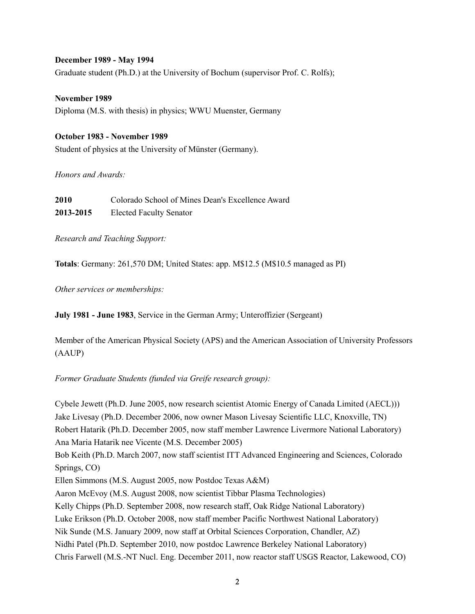## **December 1989 - May 1994**

Graduate student (Ph.D.) at the University of Bochum (supervisor Prof. C. Rolfs);

**November 1989** Diploma (M.S. with thesis) in physics; WWU Muenster, Germany

## **October 1983 - November 1989**

Student of physics at the University of Münster (Germany).

*Honors and Awards:*

**2010** Colorado School of Mines Dean's Excellence Award **2013-2015** Elected Faculty Senator

*Research and Teaching Support:*

**Totals**: Germany: 261,570 DM; United States: app. M\$12.5 (M\$10.5 managed as PI)

*Other services or memberships:*

**July 1981 - June 1983**, Service in the German Army; Unteroffizier (Sergeant)

Member of the American Physical Society (APS) and the American Association of University Professors (AAUP)

*Former Graduate Students (funded via Greife research group):*

Cybele Jewett (Ph.D. June 2005, now research scientist Atomic Energy of Canada Limited (AECL))) Jake Livesay (Ph.D. December 2006, now owner Mason Livesay Scientific LLC, Knoxville, TN) Robert Hatarik (Ph.D. December 2005, now staff member Lawrence Livermore National Laboratory) Ana Maria Hatarik nee Vicente (M.S. December 2005) Bob Keith (Ph.D. March 2007, now staff scientist ITT Advanced Engineering and Sciences, Colorado Springs, CO) Ellen Simmons (M.S. August 2005, now Postdoc Texas A&M) Aaron McEvoy (M.S. August 2008, now scientist Tibbar Plasma Technologies) Kelly Chipps (Ph.D. September 2008, now research staff, Oak Ridge National Laboratory) Luke Erikson (Ph.D. October 2008, now staff member Pacific Northwest National Laboratory) Nik Sunde (M.S. January 2009, now staff at Orbital Sciences Corporation, Chandler, AZ) Nidhi Patel (Ph.D. September 2010, now postdoc Lawrence Berkeley National Laboratory) Chris Farwell (M.S.-NT Nucl. Eng. December 2011, now reactor staff USGS Reactor, Lakewood, CO)